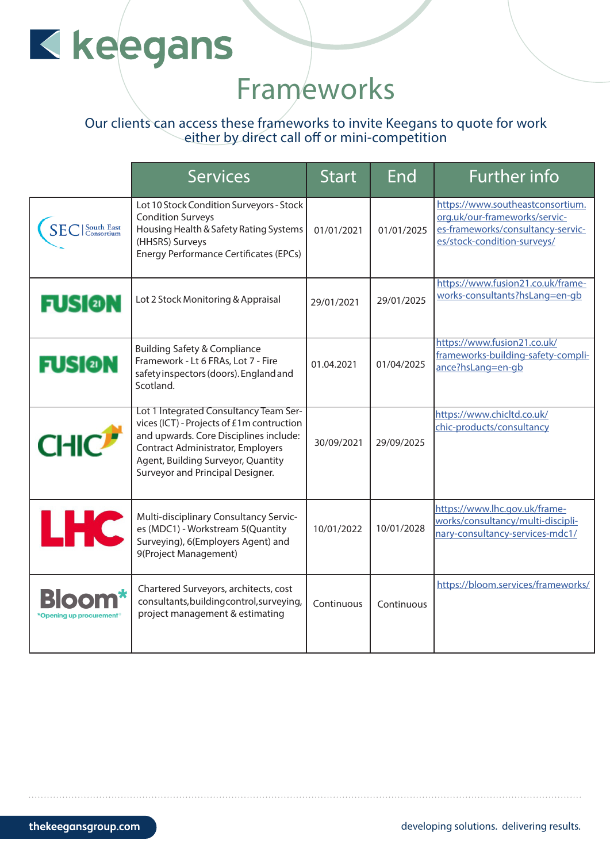# Kkeegans

### Frameworks

#### Our clients can access these frameworks to invite Keegans to quote for work either by direct call off or mini-competition

|                                   | <b>Services</b>                                                                                                                                                                                                                                     | <b>Start</b> | End        | <b>Further info</b>                                                                                                                   |
|-----------------------------------|-----------------------------------------------------------------------------------------------------------------------------------------------------------------------------------------------------------------------------------------------------|--------------|------------|---------------------------------------------------------------------------------------------------------------------------------------|
| C   South East                    | Lot 10 Stock Condition Surveyors - Stock<br><b>Condition Surveys</b><br>Housing Health & Safety Rating Systems<br>(HHSRS) Surveys<br><b>Energy Performance Certificates (EPCs)</b>                                                                  | 01/01/2021   | 01/01/2025 | https://www.southeastconsortium.<br>org.uk/our-frameworks/servic-<br>es-frameworks/consultancy-servic-<br>es/stock-condition-surveys/ |
| <b>FUSI@N</b>                     | Lot 2 Stock Monitoring & Appraisal                                                                                                                                                                                                                  | 29/01/2021   | 29/01/2025 | https://www.fusion21.co.uk/frame-<br>works-consultants?hsLang=en-gb                                                                   |
| <b>FUSION</b>                     | <b>Building Safety &amp; Compliance</b><br>Framework - Lt 6 FRAs, Lot 7 - Fire<br>safety inspectors (doors). England and<br>Scotland.                                                                                                               | 01.04.2021   | 01/04/2025 | https://www.fusion21.co.uk/<br>frameworks-building-safety-compli-<br>ance?hsLang=en-gb                                                |
| <b>CHIC</b>                       | Lot 1 Integrated Consultancy Team Ser-<br>vices (ICT) - Projects of £1m contruction<br>and upwards. Core Disciplines include:<br><b>Contract Administrator, Employers</b><br>Agent, Building Surveyor, Quantity<br>Surveyor and Principal Designer. | 30/09/2021   | 29/09/2025 | https://www.chicltd.co.uk/<br>chic-products/consultancy                                                                               |
| <b>LHC</b>                        | Multi-disciplinary Consultancy Servic-<br>es (MDC1) - Workstream 5 (Quantity<br>Surveying), 6(Employers Agent) and<br>9(Project Management)                                                                                                         | 10/01/2022   | 10/01/2028 | https://www.lhc.gov.uk/frame-<br>works/consultancy/multi-discipli-<br>nary-consultancy-services-mdc1/                                 |
| Blooi<br>*Openina up procurement′ | Chartered Surveyors, architects, cost<br>consultants, building control, surveying,<br>project management & estimating                                                                                                                               | Continuous   | Continuous | https://bloom.services/frameworks/                                                                                                    |